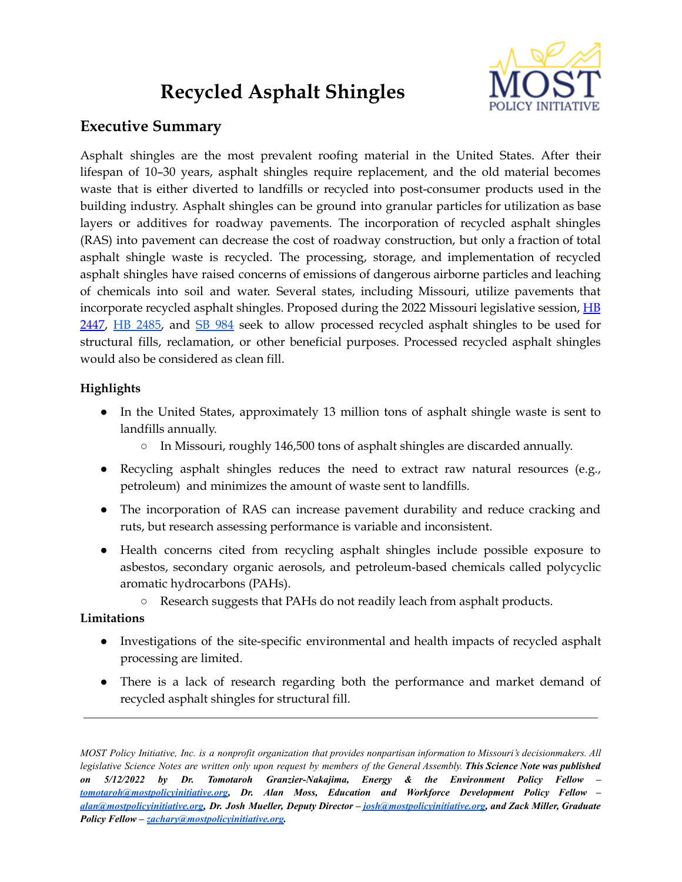# **Recycled Asphalt Shingles**



# **Executive Summary**

Asphalt shingles are the most prevalent roofing material in the United States. After their lifespan of 10–30 years, asphalt shingles require replacement, and the old material becomes waste that is either diverted to landfills or recycled into post-consumer products used in the building industry. Asphalt shingles can be ground into granular particles for utilization as base layers or additives for roadway pavements. The incorporation of recycled asphalt shingles (RAS) into pavement can decrease the cost of roadway construction, but only a fraction of total asphalt shingle waste is recycled. The processing, storage, and implementation of recycled asphalt shingles have raised concerns of emissions of dangerous airborne particles and leaching of chemicals into soil and water. Several states, including Missouri, utilize pavements that incorporate recycled asphalt shingles. Proposed during the 2022 Missouri legislative session, [HB](https://house.mo.gov/Bill.aspx?bill=HB2447&year=2022&code=R) [2447,](https://house.mo.gov/Bill.aspx?bill=HB2447&year=2022&code=R) HB [2485,](https://house.mo.gov/Bill.aspx?year=2022&code=R%20&bill=HB%202485) and SB [984](https://www.senate.mo.gov/22info/BTS_Web/Bill.aspx?SessionType=R&BillID=71868930) seek to allow processed recycled asphalt shingles to be used for structural fills, reclamation, or other beneficial purposes. Processed recycled asphalt shingles would also be considered as clean fill.

# **Highlights**

- In the United States, approximately 13 million tons of asphalt shingle waste is sent to landfills annually.
	- In Missouri, roughly 146,500 tons of asphalt shingles are discarded annually.
- Recycling asphalt shingles reduces the need to extract raw natural resources (e.g., petroleum) and minimizes the amount of waste sent to landfills.
- The incorporation of RAS can increase pavement durability and reduce cracking and ruts, but research assessing performance is variable and inconsistent.
- Health concerns cited from recycling asphalt shingles include possible exposure to asbestos, secondary organic aerosols, and petroleum-based chemicals called polycyclic aromatic hydrocarbons (PAHs).
	- Research suggests that PAHs do not readily leach from asphalt products.

# **Limitations**

- Investigations of the site-specific environmental and health impacts of recycled asphalt processing are limited.
- There is a lack of research regarding both the performance and market demand of recycled asphalt shingles for structural fill.

MOST Policy Initiative, Inc. is a nonprofit organization that provides nonpartisan information to Missouri's decisionmakers. All legislative Science Notes are written only upon request by members of the General Assembly. This Science Note was published *on 5/12/2022 by Dr. Tomotaroh Granzier-Nakajima, Energy & the Environment Policy Fellow – [tomotaroh@mostpolicyinitiative.org,](mailto:tomotaroh@mostpolicyinitiative.org) Dr. Alan Moss, Education and Workforce Development Policy Fellow – [alan@mostpolicyinitiative.org,](mailto:alan@mostpolicyinitiative.org) Dr. Josh Mueller, Deputy Director – [josh@mostpolicyinitiative.org,](mailto:josh@mostpolicyinitiative.org) and Zack Miller, Graduate Policy Fellow – [zachary@mostpolicyinitiative.org.](mailto:zachary@mostpolicyinitiative.org)*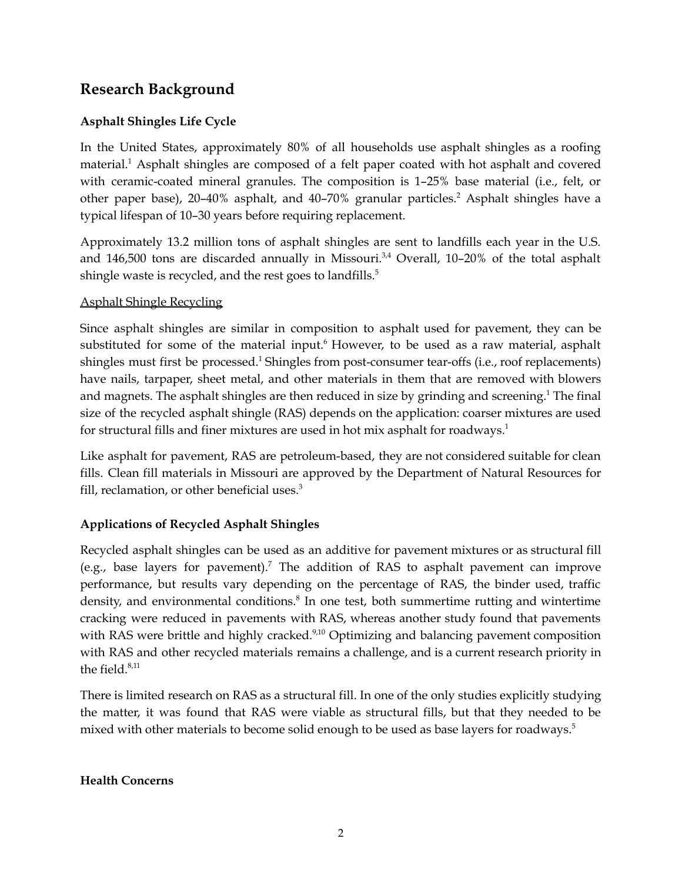# **Research Background**

# **Asphalt Shingles Life Cycle**

In the United States, approximately 80% of all households use asphalt shingles as a roofing material. <sup>1</sup> Asphalt shingles are composed of a felt paper coated with hot asphalt and covered with ceramic-coated mineral granules. The composition is 1–25% base material (i.e., felt, or other paper base), 20–40% asphalt, and 40–70% granular particles. <sup>2</sup> Asphalt shingles have a typical lifespan of 10–30 years before requiring replacement.

Approximately 13.2 million tons of asphalt shingles are sent to landfills each year in the U.S. and 146,500 tons are discarded annually in Missouri.<sup>3,4</sup> Overall, 10-20% of the total asphalt shingle waste is recycled, and the rest goes to landfills.<sup>5</sup>

#### Asphalt Shingle Recycling

Since asphalt shingles are similar in composition to asphalt used for pavement, they can be substituted for some of the material input.<sup>6</sup> However, to be used as a raw material, asphalt shingles must first be processed.<sup>1</sup> Shingles from post-consumer tear-offs (i.e., roof replacements) have nails, tarpaper, sheet metal, and other materials in them that are removed with blowers and magnets. The asphalt shingles are then reduced in size by grinding and screening. <sup>1</sup> The final size of the recycled asphalt shingle (RAS) depends on the application: coarser mixtures are used for structural fills and finer mixtures are used in hot mix asphalt for roadways. 1

Like asphalt for pavement, RAS are petroleum-based, they are not considered suitable for clean fills. Clean fill materials in Missouri are approved by the Department of Natural Resources for fill, reclamation, or other beneficial uses.<sup>3</sup>

# **Applications of Recycled Asphalt Shingles**

Recycled asphalt shingles can be used as an additive for pavement mixtures or as structural fill (e.g., base layers for pavement).<sup>7</sup> The addition of RAS to asphalt pavement can improve performance, but results vary depending on the percentage of RAS, the binder used, traffic density, and environmental conditions.<sup>8</sup> In one test, both summertime rutting and wintertime cracking were reduced in pavements with RAS, whereas another study found that pavements with RAS were brittle and highly cracked.<sup>9,10</sup> Optimizing and balancing pavement composition with RAS and other recycled materials remains a challenge, and is a current research priority in the field. 8,11

There is limited research on RAS as a structural fill. In one of the only studies explicitly studying the matter, it was found that RAS were viable as structural fills, but that they needed to be mixed with other materials to become solid enough to be used as base layers for roadways. 5

#### **Health Concerns**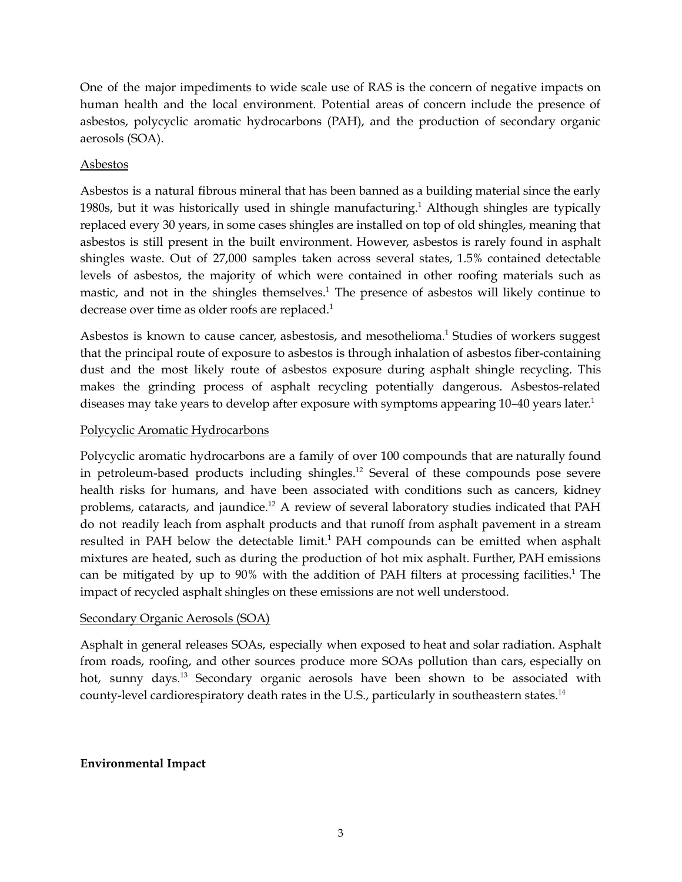One of the major impediments to wide scale use of RAS is the concern of negative impacts on human health and the local environment. Potential areas of concern include the presence of asbestos, polycyclic aromatic hydrocarbons (PAH), and the production of secondary organic aerosols (SOA).

### Asbestos

Asbestos is a natural fibrous mineral that has been banned as a building material since the early 1980s, but it was historically used in shingle manufacturing.<sup>1</sup> Although shingles are typically replaced every 30 years, in some cases shingles are installed on top of old shingles, meaning that asbestos is still present in the built environment. However, asbestos is rarely found in asphalt shingles waste. Out of 27,000 samples taken across several states, 1.5% contained detectable levels of asbestos, the majority of which were contained in other roofing materials such as mastic, and not in the shingles themselves.<sup>1</sup> The presence of asbestos will likely continue to decrease over time as older roofs are replaced.<sup>1</sup>

Asbestos is known to cause cancer, asbestosis, and mesothelioma. <sup>1</sup> Studies of workers suggest that the principal route of exposure to asbestos is through inhalation of asbestos fiber-containing dust and the most likely route of asbestos exposure during asphalt shingle recycling. This makes the grinding process of asphalt recycling potentially dangerous. Asbestos-related diseases may take years to develop after exposure with symptoms appearing 10-40 years later.<sup>1</sup>

#### Polycyclic Aromatic Hydrocarbons

Polycyclic aromatic hydrocarbons are a family of over 100 compounds that are naturally found in petroleum-based products including shingles. <sup>12</sup> Several of these compounds pose severe health risks for humans, and have been associated with conditions such as cancers, kidney problems, cataracts, and jaundice.<sup>12</sup> A review of several laboratory studies indicated that PAH do not readily leach from asphalt products and that runoff from asphalt pavement in a stream resulted in PAH below the detectable limit.<sup>1</sup> PAH compounds can be emitted when asphalt mixtures are heated, such as during the production of hot mix asphalt. Further, PAH emissions can be mitigated by up to 90% with the addition of PAH filters at processing facilities. <sup>1</sup> The impact of recycled asphalt shingles on these emissions are not well understood.

#### Secondary Organic Aerosols (SOA)

Asphalt in general releases SOAs, especially when exposed to heat and solar radiation. Asphalt from roads, roofing, and other sources produce more SOAs pollution than cars, especially on hot, sunny days.<sup>13</sup> Secondary organic aerosols have been shown to be associated with county-level cardiorespiratory death rates in the U.S., particularly in southeastern states.<sup>14</sup>

#### **Environmental Impact**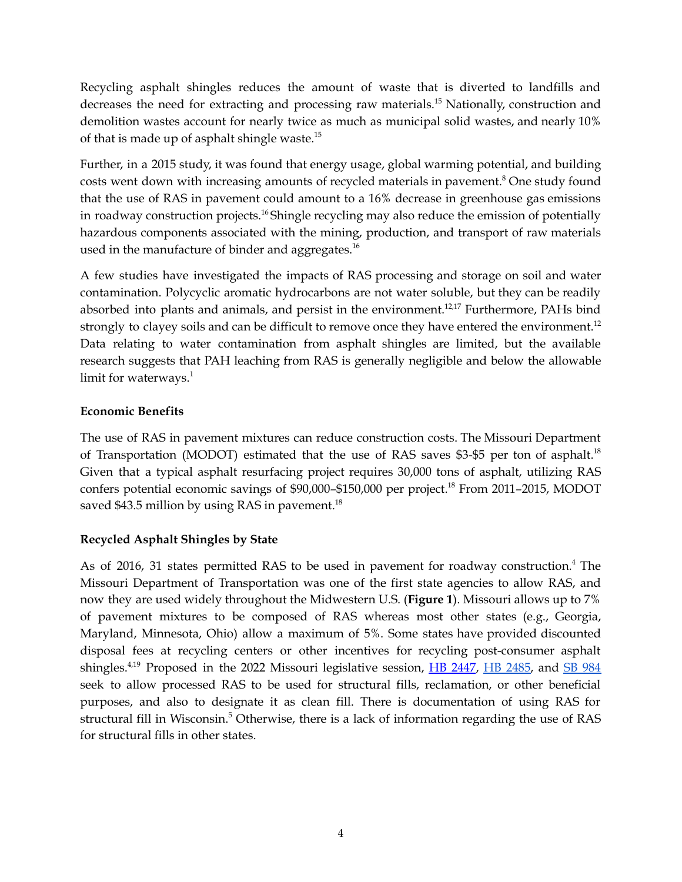Recycling asphalt shingles reduces the amount of waste that is diverted to landfills and decreases the need for extracting and processing raw materials.<sup>15</sup> Nationally, construction and demolition wastes account for nearly twice as much as municipal solid wastes, and nearly 10% of that is made up of asphalt shingle waste.<sup>15</sup>

Further, in a 2015 study, it was found that energy usage, global warming potential, and building costs went down with increasing amounts of recycled materials in pavement. <sup>8</sup> One study found that the use of RAS in pavement could amount to a 16% decrease in greenhouse gas emissions in roadway construction projects. <sup>16</sup> Shingle recycling may also reduce the emission of potentially hazardous components associated with the mining, production, and transport of raw materials used in the manufacture of binder and aggregates.<sup>16</sup>

A few studies have investigated the impacts of RAS processing and storage on soil and water contamination. Polycyclic aromatic hydrocarbons are not water soluble, but they can be readily absorbed into plants and animals, and persist in the environment.<sup>12,17</sup> Furthermore, PAHs bind strongly to clayey soils and can be difficult to remove once they have entered the environment.<sup>12</sup> Data relating to water contamination from asphalt shingles are limited, but the available research suggests that PAH leaching from RAS is generally negligible and below the allowable limit for waterways.<sup>1</sup>

# **Economic Benefits**

The use of RAS in pavement mixtures can reduce construction costs. The Missouri Department of Transportation (MODOT) estimated that the use of RAS saves \$3-\$5 per ton of asphalt.<sup>18</sup> Given that a typical asphalt resurfacing project requires 30,000 tons of asphalt, utilizing RAS confers potential economic savings of \$90,000–\$150,000 per project. <sup>18</sup> From 2011–2015, MODOT saved \$43.5 million by using RAS in pavement.<sup>18</sup>

# **Recycled Asphalt Shingles by State**

As of 2016, 31 states permitted RAS to be used in pavement for roadway construction. <sup>4</sup> The Missouri Department of Transportation was one of the first state agencies to allow RAS, and now they are used widely throughout the Midwestern U.S. (**Figure 1**). Missouri allows up to 7% of pavement mixtures to be composed of RAS whereas most other states (e.g., Georgia, Maryland, Minnesota, Ohio) allow a maximum of 5%. Some states have provided discounted disposal fees at recycling centers or other incentives for recycling post-consumer asphalt shingles.<sup>4,19</sup> Proposed in the 2022 Missouri legislative session, **HB [2447](https://house.mo.gov/Bill.aspx?bill=HB2447&year=2022&code=R)**, HB [2485,](https://house.mo.gov/Bill.aspx?year=2022&code=R%20&bill=HB%202485) and SB [984](https://www.senate.mo.gov/22info/BTS_Web/Bill.aspx?SessionType=R&BillID=71868930) seek to allow processed RAS to be used for structural fills, reclamation, or other beneficial purposes, and also to designate it as clean fill. There is documentation of using RAS for structural fill in Wisconsin. <sup>5</sup> Otherwise, there is a lack of information regarding the use of RAS for structural fills in other states.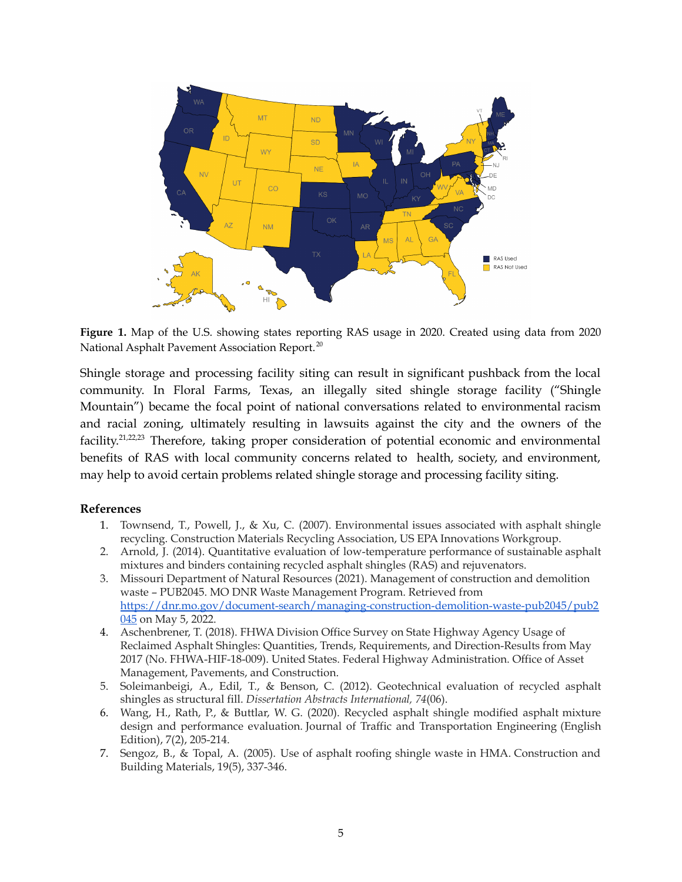

**Figure 1.** Map of the U.S. showing states reporting RAS usage in 2020. Created using data from 2020 National Asphalt Pavement Association Report. 20

Shingle storage and processing facility siting can result in significant pushback from the local community. In Floral Farms, Texas, an illegally sited shingle storage facility ("Shingle Mountain") became the focal point of national conversations related to environmental racism and racial zoning, ultimately resulting in lawsuits against the city and the owners of the facility.<sup>21,22,23</sup> Therefore, taking proper consideration of potential economic and environmental benefits of RAS with local community concerns related to health, society, and environment, may help to avoid certain problems related shingle storage and processing facility siting.

#### **References**

- 1. Townsend, T., Powell, J., & Xu, C. (2007). Environmental issues associated with asphalt shingle recycling. Construction Materials Recycling Association, US EPA Innovations Workgroup.
- 2. Arnold, J. (2014). Quantitative evaluation of low-temperature performance of sustainable asphalt mixtures and binders containing recycled asphalt shingles (RAS) and rejuvenators.
- 3. Missouri Department of Natural Resources (2021). Management of construction and demolition waste – PUB2045. MO DNR Waste Management Program. Retrieved from [https://dnr.mo.gov/document-search/managing-construction-demolition-waste-pub2045/pub2](https://dnr.mo.gov/document-search/managing-construction-demolition-waste-pub2045/pub2045) [045](https://dnr.mo.gov/document-search/managing-construction-demolition-waste-pub2045/pub2045) on May 5, 2022.
- 4. Aschenbrener, T. (2018). FHWA Division Office Survey on State Highway Agency Usage of Reclaimed Asphalt Shingles: Quantities, Trends, Requirements, and Direction-Results from May 2017 (No. FHWA-HIF-18-009). United States. Federal Highway Administration. Office of Asset Management, Pavements, and Construction.
- 5. Soleimanbeigi, A., Edil, T., & Benson, C. (2012). Geotechnical evaluation of recycled asphalt shingles as structural fill. *Dissertation Abstracts International, 74*(06).
- 6. Wang, H., Rath, P., & Buttlar, W. G. (2020). Recycled asphalt shingle modified asphalt mixture design and performance evaluation. Journal of Traffic and Transportation Engineering (English Edition), 7(2), 205-214.
- 7. Sengoz, B., & Topal, A. (2005). Use of asphalt roofing shingle waste in HMA. Construction and Building Materials, 19(5), 337-346.